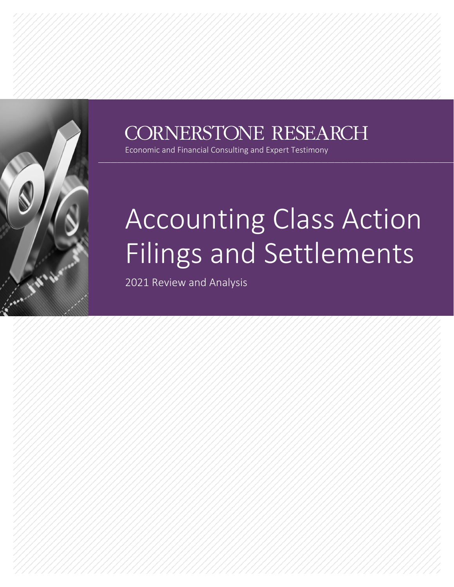

## CORNERSTONE RESEARCH

Economic and Financial Consulting and Expert Testimony

# Accounting Class Action Filings and Settlements

2021 Review and Analysis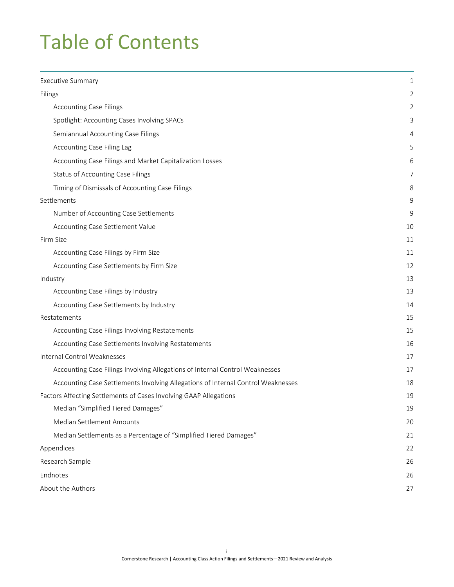## Table of Contents

| Executive Summary                                                                | 1  |
|----------------------------------------------------------------------------------|----|
| Filings                                                                          |    |
| <b>Accounting Case Filings</b>                                                   | 2  |
| Spotlight: Accounting Cases Involving SPACs                                      | 3  |
| Semiannual Accounting Case Filings                                               | 4  |
| Accounting Case Filing Lag                                                       | 5  |
| Accounting Case Filings and Market Capitalization Losses                         | 6  |
| Status of Accounting Case Filings                                                | 7  |
| Timing of Dismissals of Accounting Case Filings                                  | 8  |
| Settlements                                                                      | 9  |
| Number of Accounting Case Settlements                                            | 9  |
| Accounting Case Settlement Value                                                 | 10 |
| Firm Size                                                                        | 11 |
| Accounting Case Filings by Firm Size                                             | 11 |
| Accounting Case Settlements by Firm Size                                         | 12 |
| Industry                                                                         | 13 |
| Accounting Case Filings by Industry                                              | 13 |
| Accounting Case Settlements by Industry                                          | 14 |
| Restatements                                                                     | 15 |
| Accounting Case Filings Involving Restatements                                   | 15 |
| Accounting Case Settlements Involving Restatements                               | 16 |
| Internal Control Weaknesses                                                      | 17 |
| Accounting Case Filings Involving Allegations of Internal Control Weaknesses     | 17 |
| Accounting Case Settlements Involving Allegations of Internal Control Weaknesses | 18 |
| Factors Affecting Settlements of Cases Involving GAAP Allegations                | 19 |
| Median "Simplified Tiered Damages"                                               | 19 |
| Median Settlement Amounts                                                        | 20 |
| Median Settlements as a Percentage of "Simplified Tiered Damages"                | 21 |
| Appendices                                                                       | 22 |
| Research Sample                                                                  | 26 |
| Endnotes                                                                         | 26 |
| About the Authors                                                                | 27 |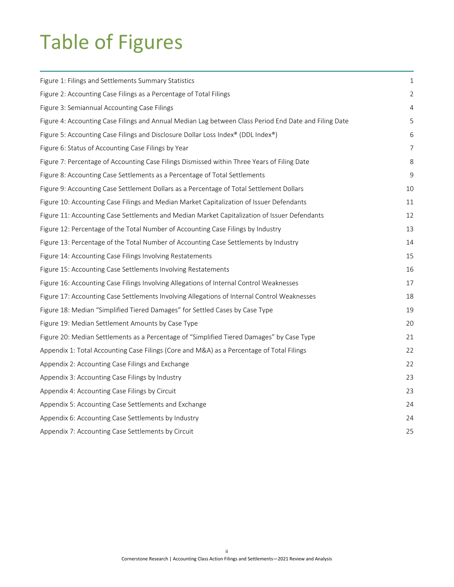## Table of Figures

| Figure 1: Filings and Settlements Summary Statistics                                                  | 1  |
|-------------------------------------------------------------------------------------------------------|----|
| Figure 2: Accounting Case Filings as a Percentage of Total Filings                                    |    |
| Figure 3: Semiannual Accounting Case Filings                                                          |    |
| Figure 4: Accounting Case Filings and Annual Median Lag between Class Period End Date and Filing Date | 5  |
| Figure 5: Accounting Case Filings and Disclosure Dollar Loss Index® (DDL Index®)                      |    |
| Figure 6: Status of Accounting Case Filings by Year                                                   | 7  |
| Figure 7: Percentage of Accounting Case Filings Dismissed within Three Years of Filing Date           | 8  |
| Figure 8: Accounting Case Settlements as a Percentage of Total Settlements                            | 9  |
| Figure 9: Accounting Case Settlement Dollars as a Percentage of Total Settlement Dollars              | 10 |
| Figure 10: Accounting Case Filings and Median Market Capitalization of Issuer Defendants              | 11 |
| Figure 11: Accounting Case Settlements and Median Market Capitalization of Issuer Defendants          | 12 |
| Figure 12: Percentage of the Total Number of Accounting Case Filings by Industry                      | 13 |
| Figure 13: Percentage of the Total Number of Accounting Case Settlements by Industry                  | 14 |
| Figure 14: Accounting Case Filings Involving Restatements                                             | 15 |
| Figure 15: Accounting Case Settlements Involving Restatements                                         | 16 |
| Figure 16: Accounting Case Filings Involving Allegations of Internal Control Weaknesses               | 17 |
| Figure 17: Accounting Case Settlements Involving Allegations of Internal Control Weaknesses           | 18 |
| Figure 18: Median "Simplified Tiered Damages" for Settled Cases by Case Type                          | 19 |
| Figure 19: Median Settlement Amounts by Case Type                                                     | 20 |
| Figure 20: Median Settlements as a Percentage of "Simplified Tiered Damages" by Case Type             | 21 |
| Appendix 1: Total Accounting Case Filings (Core and M&A) as a Percentage of Total Filings             | 22 |
| Appendix 2: Accounting Case Filings and Exchange                                                      | 22 |
| Appendix 3: Accounting Case Filings by Industry                                                       | 23 |
| Appendix 4: Accounting Case Filings by Circuit                                                        | 23 |
| Appendix 5: Accounting Case Settlements and Exchange                                                  | 24 |
| Appendix 6: Accounting Case Settlements by Industry                                                   | 24 |
| Appendix 7: Accounting Case Settlements by Circuit                                                    | 25 |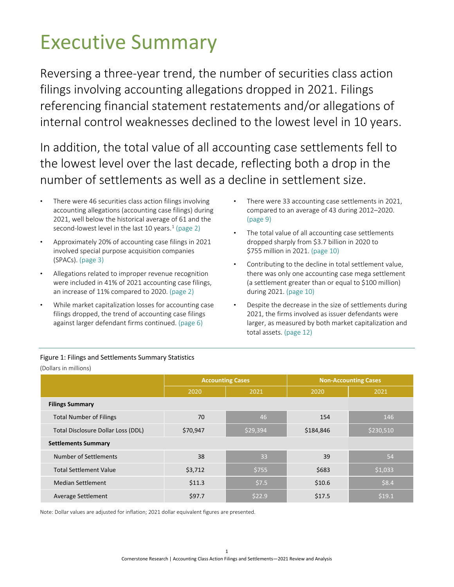## <span id="page-3-0"></span>Executive Summary

Reversing a three-year trend, the number of securities class action filings involving accounting allegations dropped in 2021. Filings referencing financial statement restatements and/or allegations of internal control weaknesses declined to the lowest level in 10 years.

In addition, the total value of all accounting case settlements fell to the lowest level over the last decade, reflecting both a drop in the number of settlements as well as a decline in settlement size.

- There were 46 securities class action filings involving accounting allegations (accounting case filings) during 2021, well below the historical average of 61 and the second-lowest level in the last [1](#page-28-2)0 years.<sup>1</sup> (page [2\)](#page-4-1)
- Approximately 20% of accounting case filings in 2021 involved special purpose acquisition companies (SPACs). (page [3\)](#page-5-0)
- Allegations related to improper revenue recognition were included in 41% of 2021 accounting case filings, an increase of 11% compared to 2020. (page [2\)](#page-4-1)
- While market capitalization losses for accounting case filings dropped, the trend of accounting case filings against larger defendant firms continued. (pag[e 6\)](#page-8-0)
- There were 33 accounting case settlements in 2021, compared to an average of 43 during 2012–2020. (page [9\)](#page-11-1)
- The total value of all accounting case settlements dropped sharply from \$3.7 billion in 2020 to \$755 million in 2021. (pag[e 10\)](#page-12-0)
- Contributing to the decline in total settlement value, there was only one accounting case mega settlement (a settlement greater than or equal to \$100 million) during 2021. (page [10\)](#page-12-0)
- Despite the decrease in the size of settlements during 2021, the firms involved as issuer defendants were larger, as measured by both market capitalization and total assets. (page [12\)](#page-14-0)

|                                    |          | <b>Accounting Cases</b> |           | <b>Non-Accounting Cases</b> |
|------------------------------------|----------|-------------------------|-----------|-----------------------------|
|                                    | 2020     | 2021                    | 2020      | 2021                        |
| <b>Filings Summary</b>             |          |                         |           |                             |
| <b>Total Number of Filings</b>     | 70       | 46                      | 154       | 146                         |
| Total Disclosure Dollar Loss (DDL) | \$70,947 | \$29,394                | \$184,846 | \$230,510                   |
| <b>Settlements Summary</b>         |          |                         |           |                             |
| Number of Settlements              | 38       | 33                      | 39        | 54                          |
| <b>Total Settlement Value</b>      | \$3,712  | \$755                   | \$683     | 51,033                      |
| <b>Median Settlement</b>           | \$11.3   | \$7.5                   | \$10.6    | \$8.4                       |
| Average Settlement                 | \$97.7   | \$22.9                  | \$17.5    | \$19.1                      |

#### <span id="page-3-1"></span>Figure 1: Filings and Settlements Summary Statistics

(Dollars in millions)

Note: Dollar values are adjusted for inflation; 2021 dollar equivalent figures are presented.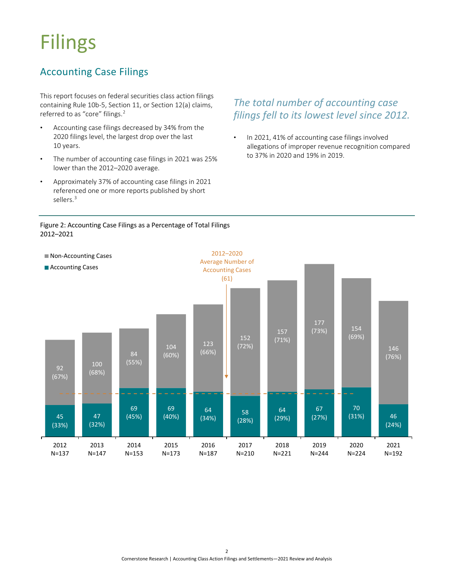## <span id="page-4-0"></span>Filings

## <span id="page-4-1"></span>Accounting Case Filings

This report focuses on federal securities class action filings containing Rule 10b-5, Section 11, or Section 12(a) claims, referred to as "core" filings.<sup>2</sup>

- Accounting case filings decreased by 34% from the 2020 filings level, the largest drop over the last 10 years.
- The number of accounting case filings in 2021 was 25% lower than the 2012–2020 average.
- Approximately 37% of accounting case filings in 2021 referenced one or more reports published by short<br>sellers <sup>3</sup> sellers.<sup>3</sup>

#### *The total number of accounting case filings fell to its lowest level since 2012.*

In 2021, 41% of accounting case filings involved allegations of improper revenue recognition compared to 37% in 2020 and 19% in 2019.

<span id="page-4-2"></span>

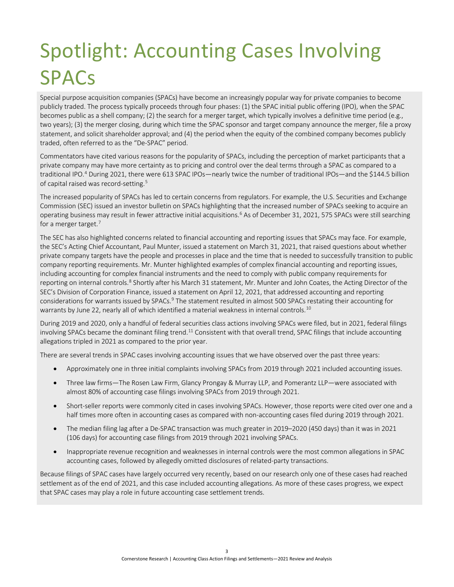## <span id="page-5-0"></span>Spotlight: Accounting Cases Involving **SPACs**

Special purpose acquisition companies (SPACs) have become an increasingly popular way for private companies to become publicly traded. The process typically proceeds through four phases: (1) the SPAC initial public offering (IPO), when the SPAC becomes public as a shell company; (2) the search for a merger target, which typically involves a definitive time period (e.g., two years); (3) the merger closing, during which time the SPAC sponsor and target company announce the merger, file a proxy statement, and solicit shareholder approval; and (4) the period when the equity of the combined company becomes publicly traded, often referred to as the "De-SPAC" period.

Commentators have cited various reasons for the popularity of SPACs, including the perception of market participants that a private company may have more certainty as to pricing and control over the deal terms through a SPAC as compared to a traditional IPO[.4](#page-28-2) During 2021, there were 613 SPAC IPOs—nearly twice the number of traditional IPOs—and the \$144.5 billion of capital raised was record-setting.<sup>5</sup>

The increased popularity of SPACs has led to certain concerns from regulators. For example, the U.S. Securities and Exchange Commission (SEC) issued an investor bulletin on SPACs highlighting that the increased number of SPACs seeking to acquire an operating business may result in fewer attractive initial acquisitions.<sup>6</sup> As of December 31, 2021, 575 SPACs were still searching for a merger target.<sup>7</sup>

The SEC has also highlighted concerns related to financial accounting and reporting issues that SPACs may face. For example, the SEC's Acting Chief Accountant, Paul Munter, issued a statement on March 31, 2021, that raised questions about whether private company targets have the people and processes in place and the time that is needed to successfully transition to public company reporting requirements. Mr. Munter highlighted examples of complex financial accounting and reporting issues, including accounting for complex financial instruments and the need to comply with public company requirements for reporting on internal controls.<sup>8</sup> Shortly after his March 31 statement, Mr. Munter and John Coates, the Acting Director of the SEC's Division of Corporation Finance, issued a statement on April 12, 2021, that addressed accounting and reporting considerations for warrants issued by SPACs.<sup>9</sup> The statement resulted in almost 500 SPACs restating their accounting for warrants by June 22, nearly all of which identified a material weakness in internal controls.<sup>10</sup>

During 2019 and 2020, only a handful of federal securities class actions involving SPACs were filed, but in 2021, federal filings involving SPACs became the dominant filing trend.<sup>11</sup> Consistent with that overall trend, SPAC filings that include accounting allegations tripled in 2021 as compared to the prior year.

There are several trends in SPAC cases involving accounting issues that we have observed over the past three years:

- Approximately one in three initial complaints involving SPACs from 2019 through 2021 included accounting issues.
- Three law firms—The Rosen Law Firm, Glancy Prongay & Murray LLP, and Pomerantz LLP—were associated with almost 80% of accounting case filings involving SPACs from 2019 through 2021.
- Short-seller reports were commonly cited in cases involving SPACs. However, those reports were cited over one and a half times more often in accounting cases as compared with non-accounting cases filed during 2019 through 2021.
- The median filing lag after a De-SPAC transaction was much greater in 2019–2020 (450 days) than it was in 2021 (106 days) for accounting case filings from 2019 through 2021 involving SPACs.
- Inappropriate revenue recognition and weaknesses in internal controls were the most common allegations in SPAC accounting cases, followed by allegedly omitted disclosures of related-party transactions.

Because filings of SPAC cases have largely occurred very recently, based on our research only one of these cases had reached settlement as of the end of 2021, and this case included accounting allegations. As more of these cases progress, we expect that SPAC cases may play a role in future accounting case settlement trends.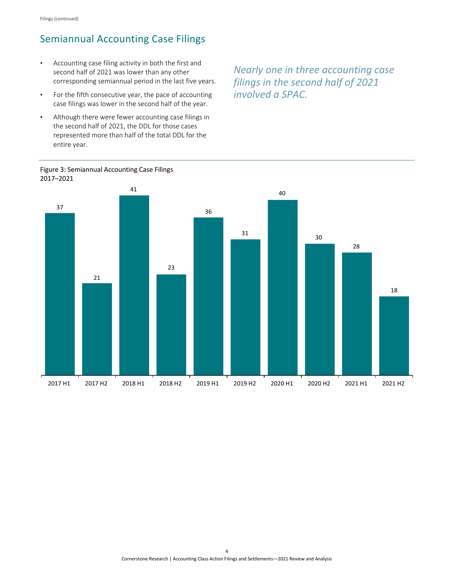### <span id="page-6-0"></span>Semiannual Accounting Case Filings

- Accounting case filing activity in both the first and second half of 2021 was lower than any other corresponding semiannual period in the last five years.
- For the fifth consecutive year, the pace of accounting case filings was lower in the second half of the year.
- Although there were fewer accounting case filings in the second half of 2021, the DDL for those cases represented more than half of the total DDL for the<br>entire vear. entire year.

*Nearly one in three accounting case filings in the second half of 2021 involved a SPAC.*



<span id="page-6-1"></span>Figure 3: Semiannual Accounting Case Filings 2017–2021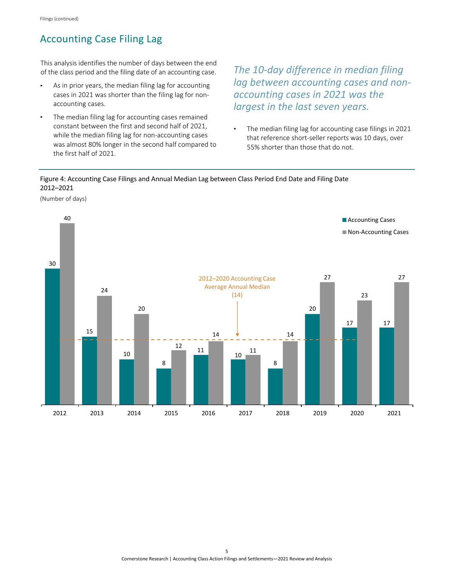## <span id="page-7-0"></span>Accounting Case Filing Lag

This analysis identifies the number of days between the end of the class period and the filing date of an accounting case.

- As in prior years, the median filing lag for accounting cases in 2021 was shorter than the filing lag for nonaccounting cases.
- The median filing lag for accounting cases remained constant between the first and second half of 2021, while the median filing lag for non-accounting cases was almost 80% longer in the second half compared to the first half of 2021.

*The 10-day difference in median filing lag between accounting cases and nonaccounting cases in 2021 was the largest in the last seven years.*

• The median filing lag for accounting case filings in 2021 that reference short-seller reports was 10 days, over 55% shorter than those that do not.

<span id="page-7-1"></span>Figure 4: Accounting Case Filings and Annual Median Lag between Class Period End Date and Filing Date<br>2012–2021 2012–2021

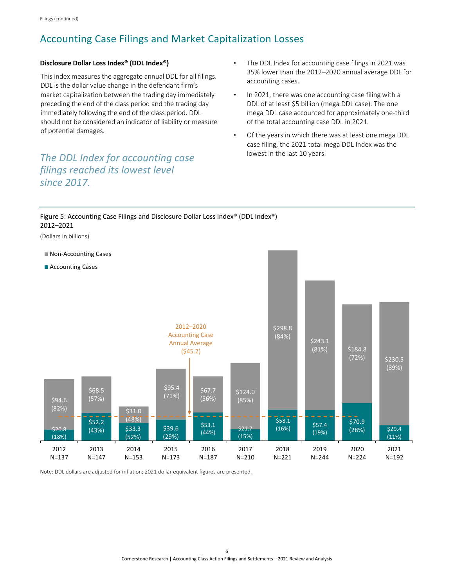### <span id="page-8-0"></span>Accounting Case Filings and Market Capitalization Losses

<sup>.</sup>

#### **Disclosure Dollar Loss Index® (DDL Index®)**

This index measures the aggregate annual DDL for all filings. DDL is the dollar value change in the defendant firm's market capitalization between the trading day immediately preceding the end of the class period and the trading day immediately following the end of the class period. DDL should not be considered an indicator of liability or measure of potential damages.

### *The DDL Index for accounting case filings reached its lowest level since 2017.*

- The DDL Index for accounting case filings in 2021 was 35% lower than the 2012–2020 annual average DDL for accounting cases.
- In 2021, there was one accounting case filing with a DDL of at least \$5 billion (mega DDL case). The one mega DDL case accounted for approximately one-third of the total accounting case DDL in 2021.
- Of the years in which there was at least one mega DDL case filing, the 2021 total mega DDL Index was the lowest in the last 10 years.

<span id="page-8-1"></span>

Note: DDL dollars are adjusted for inflation; 2021 dollar equivalent figures are presented.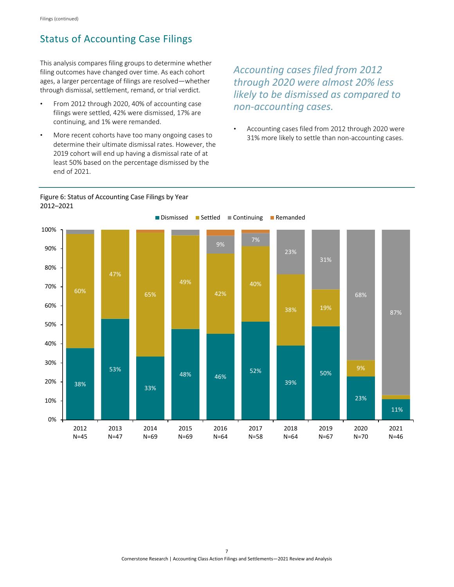### <span id="page-9-0"></span>Status of Accounting Case Filings

This analysis compares filing groups to determine whether filing outcomes have changed over time. As each cohort ages, a larger percentage of filings are resolved—whether through dismissal, settlement, remand, or trial verdict.

- From 2012 through 2020, 40% of accounting case filings were settled, 42% were dismissed, 17% are continuing, and 1% were remanded.
- More recent cohorts have too many ongoing cases to determine their ultimate dismissal rates. However, the 2019 cohort will end up having a dismissal rate of at least 50% based on the percentage dismissed by the end of 2021.

*Accounting cases filed from 2012 through 2020 were almost 20% less likely to be dismissed as compared to non-accounting cases.*

• Accounting cases filed from 2012 through 2020 were 31% more likely to settle than non-accounting cases.

<span id="page-9-1"></span>

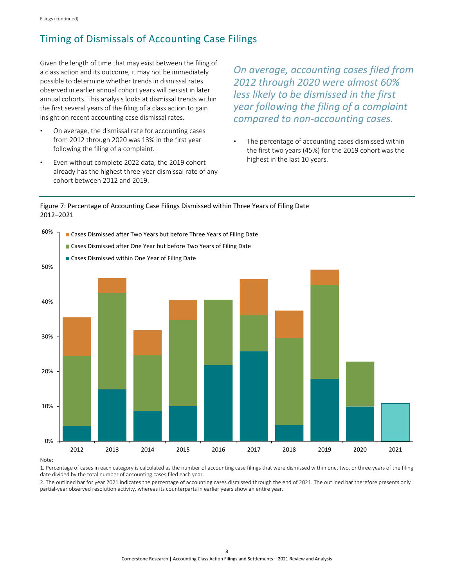### <span id="page-10-0"></span>Timing of Dismissals of Accounting Case Filings

Given the length of time that may exist between the filing of a class action and its outcome, it may not be immediately possible to determine whether trends in dismissal rates observed in earlier annual cohort years will persist in later annual cohorts. This analysis looks at dismissal trends within the first several years of the filing of a class action to gain insight on recent accounting case dismissal rates.

- On average, the dismissal rate for accounting cases from 2012 through 2020 was 13% in the first year following the filing of a complaint.
- Even without complete 2022 data, the 2019 cohort already has the highest three-year dismissal rate of any cohort between 2012 and 2019.

 $\overline{a}$ 

*On average, accounting cases filed from 2012 through 2020 were almost 60% less likely to be dismissed in the first year following the filing of a complaint compared to non-accounting cases.*

The percentage of accounting cases dismissed within the first two years (45%) for the 2019 cohort was the highest in the last 10 years.

#### <span id="page-10-1"></span>Figure 7: Percentage of Accounting Case Filings Dismissed within Three Years of Filing Date 2012–2021



Note:

1. Percentage of cases in each category is calculated as the number of accounting case filings that were dismissed within one, two, or three years of the filing date divided by the total number of accounting cases filed each year.

2. The outlined bar for year 2021 indicates the percentage of accounting cases dismissed through the end of 2021. The outlined bar therefore presents only partial-year observed resolution activity, whereas its counterparts in earlier years show an entire year.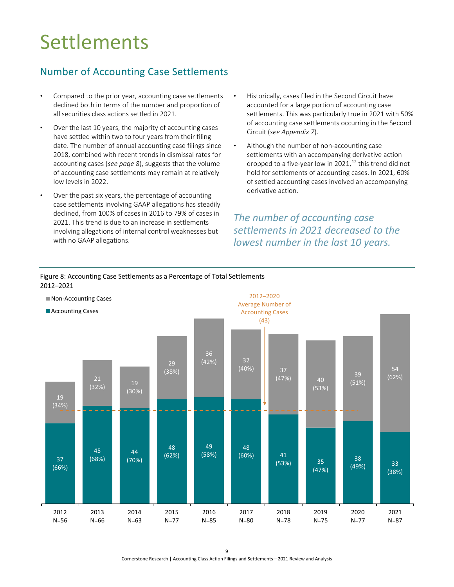## <span id="page-11-0"></span>**Settlements**

## <span id="page-11-1"></span>Number of Accounting Case Settlements

- Compared to the prior year, accounting case settlements declined both in terms of the number and proportion of all securities class actions settled in 2021.
- Over the last 10 years, the majority of accounting cases have settled within two to four years from their filing date. The number of annual accounting case filings since 2018, combined with recent trends in dismissal rates for accounting cases (*[see page 8](#page-10-0)*), suggests that the volume of accounting case settlements may remain at relatively low levels in 2022.
- Over the past six years, the percentage of accounting case settlements involving GAAP allegations has steadily declined, from 100% of cases in 2016 to 79% of cases in 2021. This trend is due to an increase in settlements involving allegations of internal control weaknesses but with no GAAP allegations.
- Historically, cases filed in the Second Circuit have accounted for a large portion of accounting case settlements. This was particularly true in 2021 with 50% of accounting case settlements occurring in the Second Circuit (*[see Appendix 7](#page-27-1)*).
- Although the number of non-accounting case settlements with an accompanying derivative action dropped to a five-year low in 2021, $^{12}$  this trend did not hold for settlements of accounting cases. In 2021, 60% of settled accounting cases involved an accompanying derivative action.

*The number of accounting case settlements in 2021 decreased to the lowest number in the last 10 years.*



<span id="page-11-2"></span>Figure 8: Accounting Case Settlements as a Percentage of Total Settlements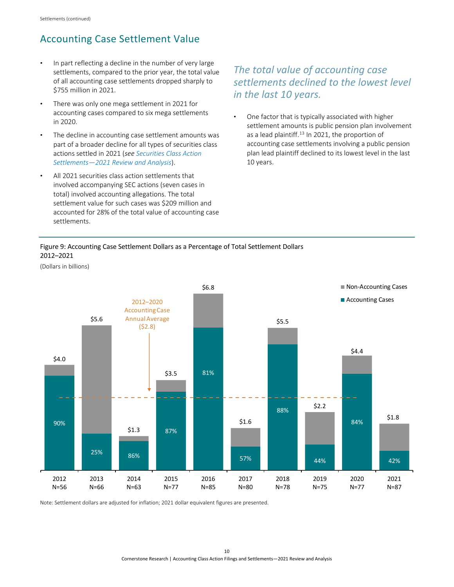## <span id="page-12-0"></span>Accounting Case Settlement Value

- In part reflecting a decline in the number of very large settlements, compared to the prior year, the total value of all accounting case settlements dropped sharply to \$755 million in 2021.
- There was only one mega settlement in 2021 for accounting cases compared to six mega settlements in 2020.
- The decline in accounting case settlement amounts was part of a broader decline for all types of securities class actions settled in 2021 (*see [Securities Class Action](https://www.cornerstone.com/wp-content/uploads/2022/03/Securities-Class-Action-Settlements-2021-Review-and-Analysis.pdf)  [Settlements—2021 Review and Analysis](https://www.cornerstone.com/wp-content/uploads/2022/03/Securities-Class-Action-Settlements-2021-Review-and-Analysis.pdf)*).
- All 2021 securities class action settlements that involved accompanying SEC actions (seven cases in total) involved accounting allegations. The total settlement value for such cases was \$209 million and accounted for 28% of the total value of accounting case settlements.

### *The total value of accounting case settlements declined to the lowest level in the last 10 years.*

• One factor that is typically associated with higher settlement amounts is public pension plan involvement as a lead plaintiff.<sup>[13](#page-28-2)</sup> In 2021, the proportion of accounting case settlements involving a public pension plan lead plaintiff declined to its lowest level in the last 10 years.

#### <span id="page-12-1"></span>Figure 9: Accounting Case Settlement Dollars as a Percentage of Total Settlement Dollars 2012–2021

(Dollars in billions)



Note: Settlement dollars are adjusted for inflation; 2021 dollar equivalent figures are presented.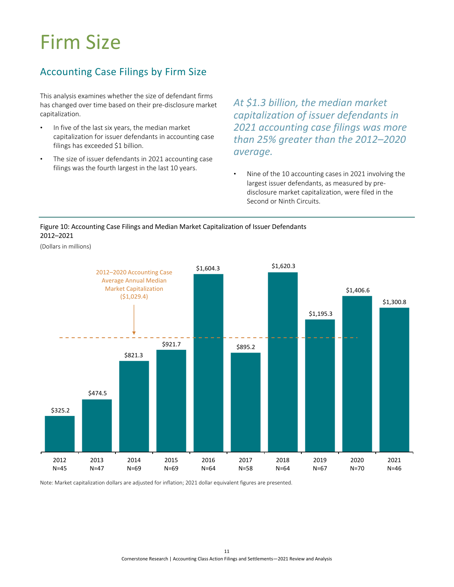## <span id="page-13-0"></span>Firm Size

### <span id="page-13-1"></span>Accounting Case Filings by Firm Size

This analysis examines whether the size of defendant firms has changed over time based on their pre-disclosure market capitalization.

- In five of the last six years, the median market capitalization for issuer defendants in accounting case filings has exceeded \$1 billion.
- The size of issuer defendants in 2021 accounting case filings was the fourth largest in the last 10 years.

*At \$1.3 billion, the median market capitalization of issuer defendants in 2021 accounting case filings was more than 25% greater than the 2012–2020 average.*  ..................

• Nine of the 10 accounting cases in 2021 involving the largest issuer defendants, as measured by predisclosure market capitalization, were filed in the Second or Ninth Circuits.

<span id="page-13-2"></span>

(Dollars in millions)



Note: Market capitalization dollars are adjusted for inflation; 2021 dollar equivalent figures are presented.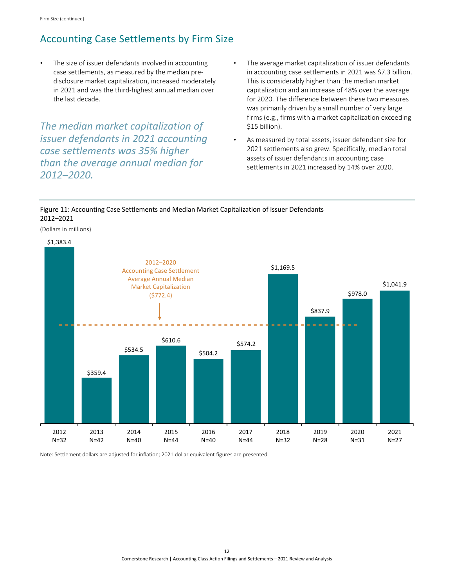### <span id="page-14-0"></span>Accounting Case Settlements by Firm Size

The size of issuer defendants involved in accounting case settlements, as measured by the median predisclosure market capitalization, increased moderately in 2021 and was the third-highest annual median over the last decade.

*The median market capitalization of issuer defendants in 2021 accounting case settlements was 35% higher than the average annual median for 2012–2020.*

- The average market capitalization of issuer defendants in accounting case settlements in 2021 was \$7.3 billion. This is considerably higher than the median market capitalization and an increase of 48% over the average for 2020. The difference between these two measures was primarily driven by a small number of very large firms (e.g., firms with a market capitalization exceeding \$15 billion).
- As measured by total assets, issuer defendant size for 2021 settlements also grew. Specifically, median total assets of issuer defendants in accounting case settlements in 2021 increased by 14% over 2020.

#### <span id="page-14-1"></span>Figure 11: Accounting Case Settlements and Median Market Capitalization of Issuer Defendants 2012–2021

(Dollars in millions)



Note: Settlement dollars are adjusted for inflation; 2021 dollar equivalent figures are presented.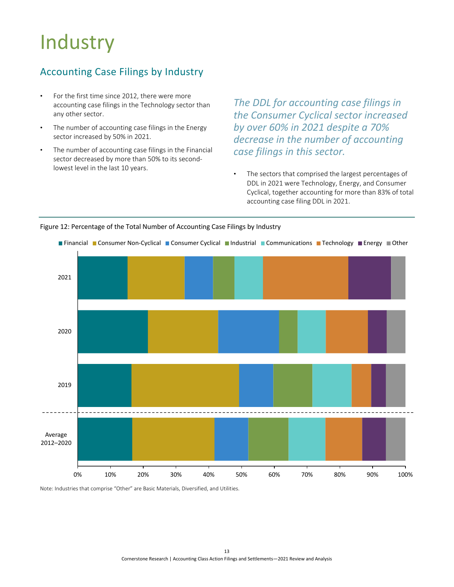## <span id="page-15-0"></span>**Industry**

### <span id="page-15-1"></span>Accounting Case Filings by Industry

- For the first time since 2012, there were more accounting case filings in the Technology sector than any other sector.
- The number of accounting case filings in the Energy sector increased by 50% in 2021.
- The number of accounting case filings in the Financial sector decreased by more than 50% to its secondlowest level in the last 10 years.

*The DDL for accounting case filings in the Consumer Cyclical sector increased by over 60% in 2021 despite a 70% decrease in the number of accounting case filings in this sector.*

The sectors that comprised the largest percentages of DDL in 2021 were Technology, Energy, and Consumer Cyclical, together accounting for more than 83% of total accounting case filing DDL in 2021.



#### <span id="page-15-2"></span>Figure 12: Percentage of the Total Number of Accounting Case Filings by Industry

 $\overline{a}$ 

Note: Industries that comprise "Other" are Basic Materials, Diversified, and Utilities.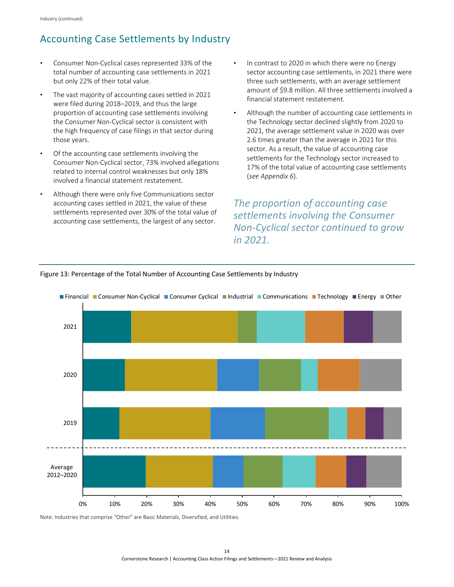## <span id="page-16-0"></span>Accounting Case Settlements by Industry

- Consumer Non-Cyclical cases represented 33% of the total number of accounting case settlements in 2021 but only 22% of their total value.
- The vast majority of accounting cases settled in 2021 were filed during 2018–2019, and thus the large proportion of accounting case settlements involving the Consumer Non-Cyclical sector is consistent with the high frequency of case filings in that sector during those years.
- Of the accounting case settlements involving the Consumer Non-Cyclical sector, 73% involved allegations related to internal control weaknesses but only 18% involved a financial statement restatement.
- Although there were only five Communications sector accounting cases settled in 2021, the value of these settlements represented over 30% of the total value of accounting case settlements, the largest of any sector.
- In contrast to 2020 in which there were no Energy sector accounting case settlements, in 2021 there were three such settlements, with an average settlement amount of \$9.8 million. All three settlements involved a financial statement restatement.
- Although the number of accounting case settlements in the Technology sector declined slightly from 2020 to 2021, the average settlement value in 2020 was over 2.6 times greater than the average in 2021 for this sector. As a result, the value of accounting case settlements for the Technology sector increased to 17% of the total value of accounting case settlements (*[see Appendix 6](#page-26-2)*).

*The proportion of accounting case settlements involving the Consumer Non-Cyclical sector continued to grow in 2021.* 



#### <span id="page-16-1"></span>Figure 13: Percentage of the Total Number of Accounting Case Settlements by Industry

Note: Industries that comprise "Other" are Basic Materials, Diversified, and Utilities.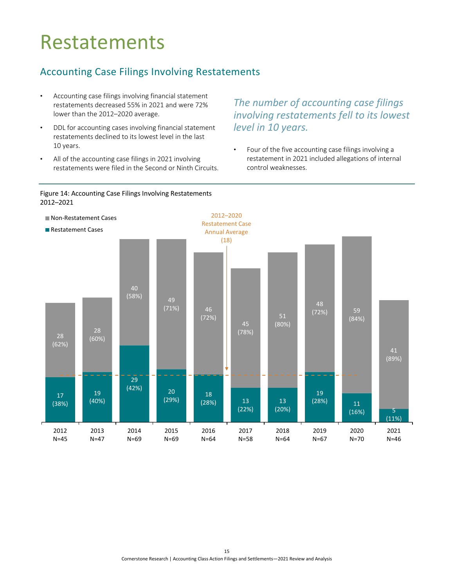## <span id="page-17-0"></span>Restatements

### <span id="page-17-1"></span>Accounting Case Filings Involving Restatements

- Accounting case filings involving financial statement restatements decreased 55% in 2021 and were 72% lower than the 2012–2020 average.
- DDL for accounting cases involving financial statement restatements declined to its lowest level in the last 10 years.
- All of the accounting case filings in 2021 involving restatements were filed in the Second or Ninth Circuits.

## *The number of accounting case filings involving restatements fell to its lowest level in 10 years.*

• Four of the five accounting case filings involving a restatement in 2021 included allegations of internal control weaknesses.

<span id="page-17-2"></span>

.......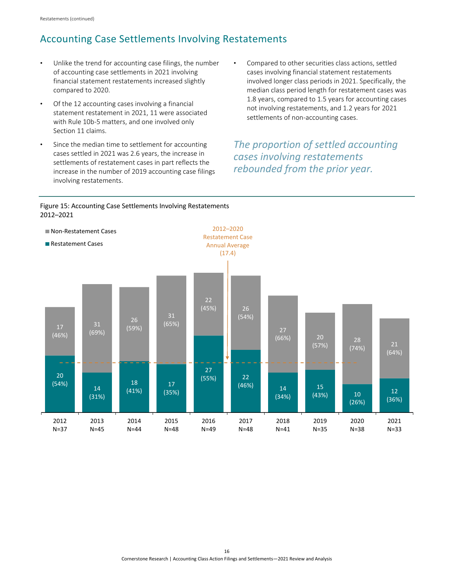### <span id="page-18-0"></span>Accounting Case Settlements Involving Restatements

- Unlike the trend for accounting case filings, the number of accounting case settlements in 2021 involving financial statement restatements increased slightly compared to 2020.
- Of the 12 accounting cases involving a financial statement restatement in 2021, 11 were associated with Rule 10b-5 matters, and one involved only Section 11 claims.
- Since the median time to settlement for accounting cases settled in 2021 was 2.6 years, the increase in settlements of restatement cases in part reflects the increase in the number of 2019 accounting case filings  involving restatements.
- Compared to other securities class actions, settled cases involving financial statement restatements involved longer class periods in 2021. Specifically, the median class period length for restatement cases was 1.8 years, compared to 1.5 years for accounting cases not involving restatements, and 1.2 years for 2021 settlements of non-accounting cases.

### *The proportion of settled accounting cases involving restatements rebounded from the prior year.*

<span id="page-18-1"></span>

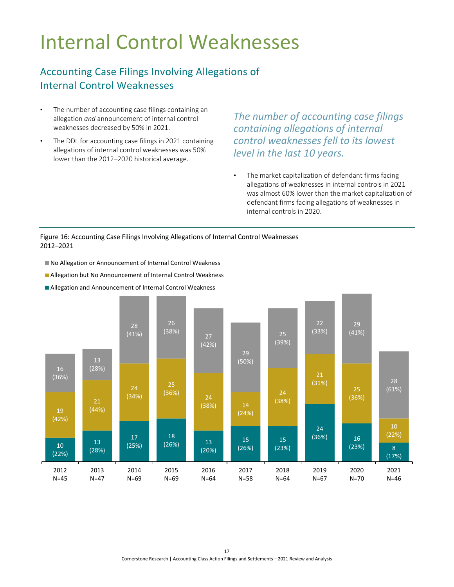## <span id="page-19-0"></span>Internal Control Weaknesses

### <span id="page-19-1"></span>Accounting Case Filings Involving Allegations of Internal Control Weaknesses

- The number of accounting case filings containing an allegation *and* announcement of internal control weaknesses decreased by 50% in 2021.
- The DDL for accounting case filings in 2021 containing allegations of internal control weaknesses was 50% lower than the 2012–2020 historical average.

*The number of accounting case filings containing allegations of internal control weaknesses fell to its lowest level in the last 10 years.* 

The market capitalization of defendant firms facing allegations of weaknesses in internal controls in 2021 was almost 60% lower than the market capitalization of defendant firms facing allegations of weaknesses in internal controls in 2020.

#### <span id="page-19-2"></span>Figure 16: Accounting Case Filings Involving Allegations of Internal Control Weaknesses 2012–2021

 $\overline{a}$ 

- No Allegation or Announcement of Internal Control Weakness
- **Allegation but No Announcement of Internal Control Weakness**
- Allegation and Announcement of Internal Control Weakness

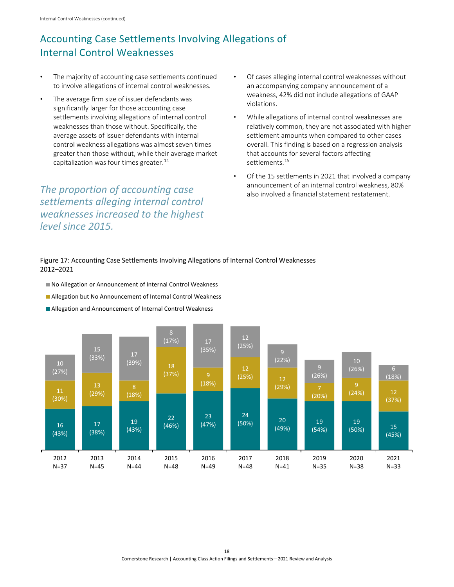## <span id="page-20-0"></span>Accounting Case Settlements Involving Allegations of Internal Control Weaknesses

- The majority of accounting case settlements continued to involve allegations of internal control weaknesses.
- The average firm size of issuer defendants was significantly larger for those accounting case settlements involving allegations of internal control weaknesses than those without. Specifically, the average assets of issuer defendants with internal control weakness allegations was almost seven times greater than those without, while their average market capitalization was four times greater. [14](#page-28-2)

*The proportion of accounting case settlements alleging internal control weaknesses increased to the highest*  *level since 2015.* 

- Of cases alleging internal control weaknesses without an accompanying company announcement of a weakness, 42% did not include allegations of GAAP violations.
- While allegations of internal control weaknesses are relatively common, they are not associated with higher settlement amounts when compared to other cases overall. This finding is based on a regression analysis that accounts for several factors affecting settlements.<sup>15</sup>
- Of the 15 settlements in 2021 that involved a company announcement of an internal control weakness, 80% also involved a financial statement restatement.

<span id="page-20-1"></span>Figure 17: Accounting Case Settlements Involving Allegations of Internal Control Weaknesses 2012–2021

- No Allegation or Announcement of Internal Control Weakness
- Allegation but No Announcement of Internal Control Weakness
- Allegation and Announcement of Internal Control Weakness

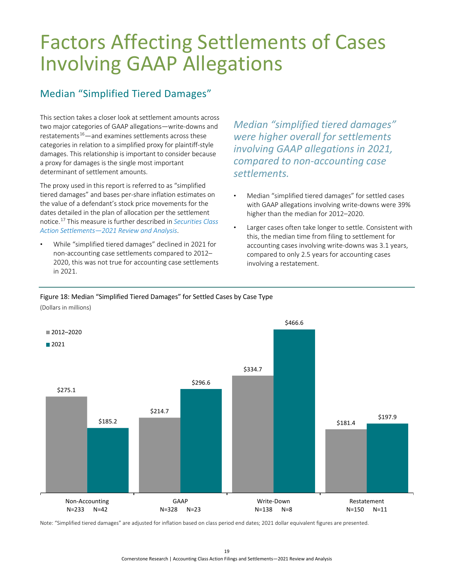## <span id="page-21-0"></span>Factors Affecting Settlements of Cases Involving GAAP Allegations

### <span id="page-21-1"></span>Median "Simplified Tiered Damages"

This section takes a closer look at settlement amounts across two major categories of GAAP allegations—write-downs and restatements $16$ —and examines settlements across these categories in relation to a simplified proxy for plaintiff-style damages. This relationship is important to consider because a proxy for damages is the single most important determinant of settlement amounts.

The proxy used in this report is referred to as "simplified tiered damages" and bases per-share inflation estimates on the value of a defendant's stock price movements for the dates detailed in the plan of allocation per the settlement notice. [17](#page-28-2) This measure is further described in *[Securities Class](https://www.cornerstone.com/wp-content/uploads/2022/03/Securities-Class-Action-Settlements-2021-Review-and-Analysis.pdf)  [Action Settlements—2021 Review and Analysis](https://www.cornerstone.com/wp-content/uploads/2022/03/Securities-Class-Action-Settlements-2021-Review-and-Analysis.pdf)*.

• While "simplified tiered damages" declined in 2021 for non-accounting case settlements compared to 2012– 2020, this was not true for accounting case settlements in 2021.

*Median "simplified tiered damages" were higher overall for settlements involving GAAP allegations in 2021, compared to non-accounting case settlements.*

- Median "simplified tiered damages" for settled cases with GAAP allegations involving write-downs were 39% higher than the median for 2012–2020.
- Larger cases often take longer to settle. Consistent with this, the median time from filing to settlement for accounting cases involving write-downs was 3.1 years, compared to only 2.5 years for accounting cases involving a restatement.

#### <span id="page-21-2"></span>Figure 18: Median "Simplified Tiered Damages" for Settled Cases by Case Type (Dollars in millions)



Note: "Simplified tiered damages" are adjusted for inflation based on class period end dates; 2021 dollar equivalent figures are presented.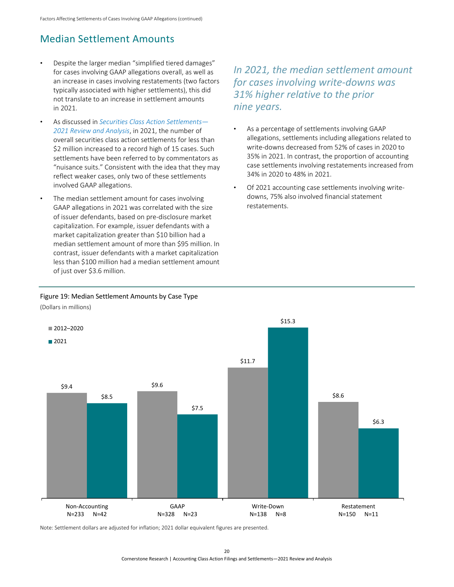## <span id="page-22-0"></span>Median Settlement Amounts

- Despite the larger median "simplified tiered damages" for cases involving GAAP allegations overall, as well as an increase in cases involving restatements (two factors typically associated with higher settlements), this did not translate to an increase in settlement amounts in 2021.
- As discussed in *[Securities Class Action Settlements—](https://www.cornerstone.com/wp-content/uploads/2022/03/Securities-Class-Action-Settlements-2021-Review-and-Analysis.pdf) [2021 Review and Analysis](https://www.cornerstone.com/wp-content/uploads/2022/03/Securities-Class-Action-Settlements-2021-Review-and-Analysis.pdf)*, in 2021, the number of overall securities class action settlements for less than \$2 million increased to a record high of 15 cases. Such settlements have been referred to by commentators as "nuisance suits." Consistent with the idea that they may reflect weaker cases, only two of these settlements involved GAAP allegations.
- The median settlement amount for cases involving GAAP allegations in 2021 was correlated with the size of issuer defendants, based on pre-disclosure market capitalization. For example, issuer defendants with a market capitalization greater than \$10 billion had a median settlement amount of more than \$95 million. In contrast, issuer defendants with a market capitalization less than \$100 million had a median settlement amount of just over \$3.6 million.

*In 2021, the median settlement amount for cases involving write-downs was 31% higher relative to the prior nine years.* 

...........................

- As a percentage of settlements involving GAAP allegations, settlements including allegations related to write-downs decreased from 52% of cases in 2020 to 35% in 2021. In contrast, the proportion of accounting case settlements involving restatements increased from 34% in 2020 to 48% in 2021.
- Of 2021 accounting case settlements involving writedowns, 75% also involved financial statement restatements.

#### <span id="page-22-1"></span>Figure 19: Median Settlement Amounts by Case Type

 $$9.4$   $$9.6$ \$11.7 \$8.5 \$8.6 \$7.5 \$15.3 \$6.3 Non-Accounting N=233 N=42 GAAP N=328 N=23 Write-Down N=138 N=8 Restatement N=150 N=11 ■2012–2020  $2021$ 

(Dollars in millions)

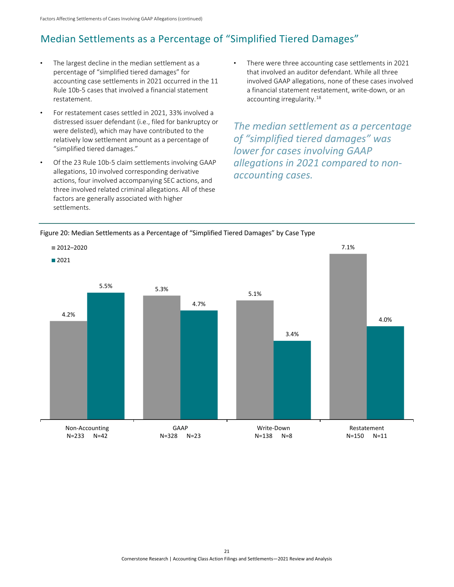## <span id="page-23-0"></span>Median Settlements as a Percentage of "Simplified Tiered Damages"

- The largest decline in the median settlement as a percentage of "simplified tiered damages" for accounting case settlements in 2021 occurred in the 11 Rule 10b-5 cases that involved a financial statement restatement.
- For restatement cases settled in 2021, 33% involved a distressed issuer defendant (i.e., filed for bankruptcy or were delisted), which may have contributed to the relatively low settlement amount as a percentage of "simplified tiered damages."
- Of the 23 Rule 10b-5 claim settlements involving GAAP allegations, 10 involved corresponding derivative actions, four involved accompanying SEC actions, and three involved related criminal allegations. All of these  factors are generally associated with higher settlements.
- There were three accounting case settlements in 2021 that involved an auditor defendant. While all three involved GAAP allegations, none of these cases involved a financial statement restatement, write-down, or an accounting irregularity[.18](#page-28-2)

*The median settlement as a percentage of "simplified tiered damages" was lower for cases involving GAAP allegations in 2021 compared to nonaccounting cases.* 

<span id="page-23-1"></span>

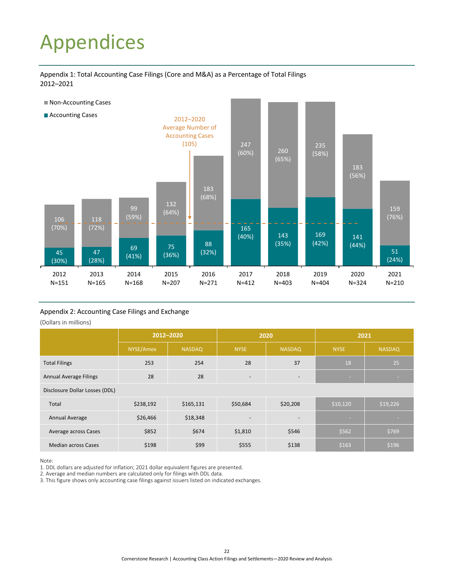## <span id="page-24-3"></span><span id="page-24-0"></span>Appendices

<span id="page-24-1"></span>Appendix 1: Total Accounting Case Filings (Core and M&A) as a Percentage of Total Filings 2012–2021



#### <span id="page-24-2"></span>Appendix 2: Accounting Case Filings and Exchange

(Dollars in millions)

|                                | 2012-2020 |               |                          | 2020                     | 2021        |               |  |
|--------------------------------|-----------|---------------|--------------------------|--------------------------|-------------|---------------|--|
|                                | NYSE/Amex | <b>NASDAQ</b> | <b>NYSE</b>              | <b>NASDAQ</b>            | <b>NYSE</b> | <b>NASDAQ</b> |  |
| <b>Total Filings</b>           | 253       | 254           | 28                       | 37                       | 18          | 25            |  |
| <b>Annual Average Filings</b>  | 28        | 28            | $\overline{\phantom{a}}$ | $\overline{\phantom{0}}$ | <b>COLL</b> |               |  |
| Disclosure Dollar Losses (DDL) |           |               |                          |                          |             |               |  |
| Total                          | \$238,192 | \$165,131     | \$50,684                 | \$20,208                 | \$10,120    | \$19,226      |  |
| Annual Average                 | \$26,466  | \$18,348      |                          |                          |             |               |  |
| Average across Cases           | \$852     | \$674         | \$1,810                  | \$546                    | \$562       | \$769         |  |
| <b>Median across Cases</b>     | \$198     | \$99          | \$555                    | \$138                    | \$163       | \$196         |  |

Note:

1. DDL dollars are adjusted for inflation; 2021 dollar equivalent figures are presented.

2. Average and median numbers are calculated only for filings with DDL data.

3. This figure shows only accounting case filings against issuers listed on indicated exchanges.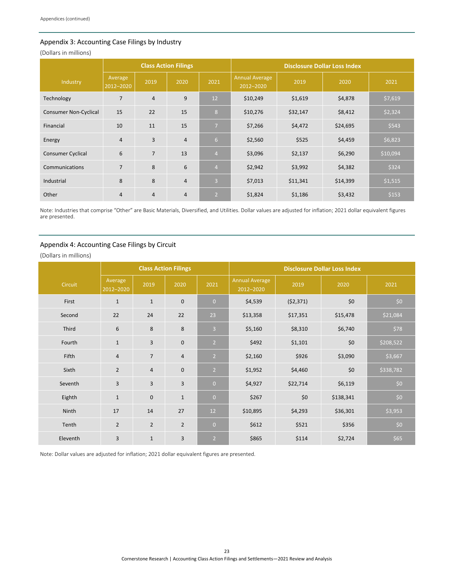#### <span id="page-25-0"></span>Appendix 3: Accounting Case Filings by Industry

(Dollars in millions)

|                              |                                     |                | <b>Class Action Filings</b> |                | <b>Disclosure Dollar Loss Index</b> |          |          |          |
|------------------------------|-------------------------------------|----------------|-----------------------------|----------------|-------------------------------------|----------|----------|----------|
| Industry                     | Average<br>$\overline{2012} - 2020$ | 2019           | 2020                        | 2021           | <b>Annual Average</b><br>2012-2020  | 2019     | 2020     | 2021     |
| Technology                   | $\overline{7}$                      | $\overline{4}$ | 9                           | 12             | \$10,249                            | \$1,619  | \$4,878  | \$7,619  |
| <b>Consumer Non-Cyclical</b> | 15                                  | 22             | 15                          | 8              | \$10,276                            | \$32,147 | \$8,412  | \$2,324  |
| Financial                    | 10                                  | 11             | 15                          | $\overline{7}$ | \$7,266                             | \$4,472  | \$24,695 | \$543    |
| Energy                       | $\overline{4}$                      | 3              | $\overline{4}$              | 6 <sup>1</sup> | \$2,560                             | \$525    | \$4,459  | \$6,823  |
| <b>Consumer Cyclical</b>     | 6                                   | $\overline{7}$ | 13                          | $\overline{4}$ | \$3,096                             | \$2,137  | \$6,290  | \$10,094 |
| Communications               | $\overline{7}$                      | 8              | 6                           | $\overline{4}$ | \$2,942                             | \$3,992  | \$4,382  | \$324    |
| Industrial                   | 8                                   | 8              | $\overline{4}$              | $\overline{3}$ | \$7,013                             | \$11,341 | \$14,399 | \$1,515  |
| Other                        | $\overline{4}$                      | $\overline{4}$ | $\overline{4}$              | $\overline{2}$ | \$1,824                             | \$1,186  | \$3,432  | \$153    |

Note: Industries that comprise "Other" are Basic Materials, Diversified, and Utilities. Dollar values are adjusted for inflation; 2021 dollar equivalent figures are presented.

#### <span id="page-25-1"></span>Appendix 4: Accounting Case Filings by Circuit

(Dollars in millions)

|          |                      |                | <b>Class Action Filings</b><br><b>Disclosure Dollar Loss Index</b> |                |                                    |           |           |           |
|----------|----------------------|----------------|--------------------------------------------------------------------|----------------|------------------------------------|-----------|-----------|-----------|
| Circuit  | Average<br>2012-2020 | 2019           | 2020                                                               | 2021           | <b>Annual Average</b><br>2012-2020 | 2019      | 2020      | 2021      |
| First    | $1\,$                | $\mathbf{1}$   | $\mathbf 0$                                                        | $\overline{0}$ | \$4,539                            | (52, 371) | \$0       | \$0       |
| Second   | 22                   | 24             | 22                                                                 | 23             | \$13,358                           | \$17,351  | \$15,478  | \$21,084  |
| Third    | 6                    | 8              | 8                                                                  | $\overline{3}$ | \$5,160                            | \$8,310   | \$6,740   | \$78      |
| Fourth   | $\mathbf{1}$         | 3              | $\mathbf{0}$                                                       | $\overline{2}$ | \$492                              | \$1,101   | \$0       | \$208,522 |
| Fifth    | $\overline{4}$       | $\overline{7}$ | $\sqrt{4}$                                                         | $\overline{2}$ | \$2,160                            | \$926     | \$3,090   | \$3,667   |
| Sixth    | $\overline{2}$       | $\overline{4}$ | $\bf 0$                                                            | $\overline{2}$ | \$1,952                            | \$4,460   | \$0       | \$338,782 |
| Seventh  | $\overline{3}$       | 3              | 3                                                                  | $\overline{0}$ | \$4,927                            | \$22,714  | \$6,119   | \$0       |
| Eighth   | $\mathbf{1}$         | $\pmb{0}$      | $\mathbf{1}$                                                       | $\overline{0}$ | \$267                              | \$0       | \$138,341 | \$0       |
| Ninth    | 17                   | 14             | 27                                                                 | 12             | \$10,895                           | \$4,293   | \$36,301  | \$3,953   |
| Tenth    | $\overline{2}$       | $\overline{2}$ | $\overline{2}$                                                     | $\overline{0}$ | \$612                              | \$521     | \$356     | \$0       |
| Eleventh | 3                    | $1\,$          | 3                                                                  | $\overline{2}$ | \$865                              | \$114     | \$2,724   | \$65      |

Note: Dollar values are adjusted for inflation; 2021 dollar equivalent figures are presented.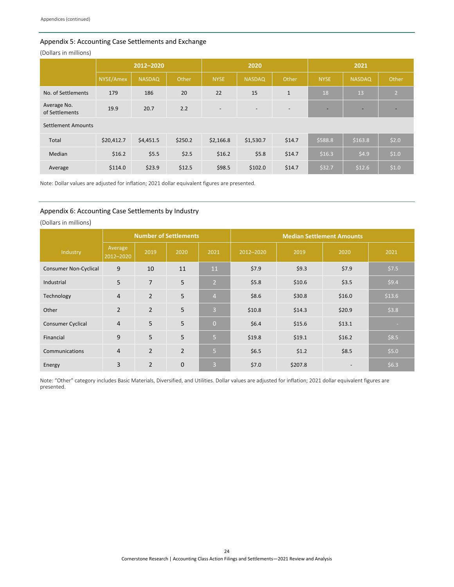#### <span id="page-26-2"></span><span id="page-26-0"></span>Appendix 5: Accounting Case Settlements and Exchange

(Dollars in millions)

|                               | 2012-2020  |               |         |                          | 2020                     |              | 2021        |                          |                |
|-------------------------------|------------|---------------|---------|--------------------------|--------------------------|--------------|-------------|--------------------------|----------------|
|                               | NYSE/Amex  | <b>NASDAQ</b> | Other   | <b>NYSE</b>              | <b>NASDAQ</b>            | Other        | <b>NYSE</b> | <b>NASDAQ</b>            | Other          |
| No. of Settlements            | 179        | 186           | 20      | 22                       | 15                       | $\mathbf{1}$ | 18          | 13                       | $\overline{2}$ |
| Average No.<br>of Settlements | 19.9       | 20.7          | 2.2     | $\overline{\phantom{a}}$ | $\overline{\phantom{a}}$ |              | -           | $\overline{\phantom{0}}$ | -              |
| <b>Settlement Amounts</b>     |            |               |         |                          |                          |              |             |                          |                |
| Total                         | \$20,412.7 | \$4,451.5     | \$250.2 | \$2,166.8                | \$1,530.7                | \$14.7       | \$588.8     | \$163.8                  | \$2.0          |
| Median                        | \$16.2     | \$5.5         | \$2.5   | \$16.2                   | \$5.8                    | \$14.7       | \$16.3      | \$4.9                    | \$1.0          |
| Average                       | \$114.0    | \$23.9        | \$12.5  | \$98.5                   | \$102.0                  | \$14.7       | \$32.7      | \$12.6                   | \$1.0          |

Note: Dollar values are adjusted for inflation; 2021 dollar equivalent figures are presented.

#### <span id="page-26-1"></span>Appendix 6: Accounting Case Settlements by Industry

(Dollars in millions)

|                              |                      |                | <b>Number of Settlements</b> |                 | <b>Median Settlement Amounts</b> |         |        |        |
|------------------------------|----------------------|----------------|------------------------------|-----------------|----------------------------------|---------|--------|--------|
| Industry                     | Average<br>2012-2020 | 2019           | 2020                         | 2021            | 2012-2020                        | 2019    | 2020   | 2021   |
| <b>Consumer Non-Cyclical</b> | 9                    | 10             | 11                           | 11              | \$7.9                            | \$9.3   | \$7.9  | \$7.5  |
| Industrial                   | 5                    | $\overline{7}$ | 5                            | $\vert 2 \vert$ | \$5.8                            | \$10.6  | \$3.5  | \$9.4  |
| Technology                   | $\overline{4}$       | $\overline{2}$ | 5                            | $\overline{4}$  | \$8.6                            | \$30.8  | \$16.0 | \$13.6 |
| Other                        | $\overline{2}$       | $\overline{2}$ | 5                            | $\overline{3}$  | \$10.8                           | \$14.3  | \$20.9 | \$3.8  |
| <b>Consumer Cyclical</b>     | $\overline{4}$       | 5              | 5                            | $\Omega$        | \$6.4\$                          | \$15.6  | \$13.1 | -      |
| Financial                    | 9                    | 5              | 5                            | Б,              | \$19.8                           | \$19.1  | \$16.2 | \$8.5  |
| Communications               | $\overline{4}$       | $\overline{2}$ | $\overline{2}$               | 5               | \$6.5                            | \$1.2   | \$8.5  | \$5.0  |
| Energy                       | 3                    | $\overline{2}$ | $\mathbf 0$                  | $\overline{3}$  | \$7.0                            | \$207.8 |        | \$6.3  |

Note: "Other" category includes Basic Materials, Diversified, and Utilities. Dollar values are adjusted for inflation; 2021 dollar equivalent figures are presented.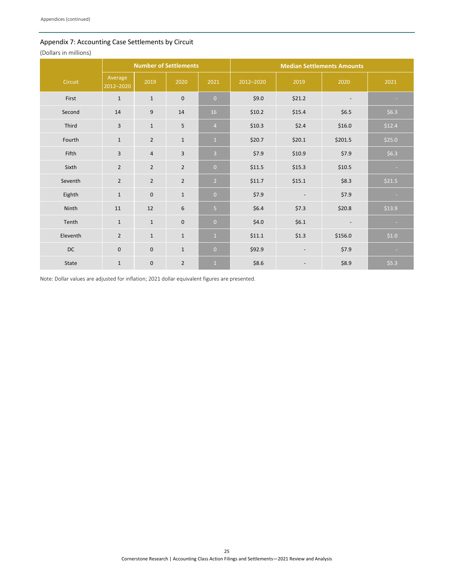#### <span id="page-27-1"></span><span id="page-27-0"></span>Appendix 7: Accounting Case Settlements by Circuit

(Dollars in millions)

|          |                      |                | <b>Number of Settlements</b> |                |           |                          |                          |         |
|----------|----------------------|----------------|------------------------------|----------------|-----------|--------------------------|--------------------------|---------|
| Circuit  | Average<br>2012-2020 | 2019           | 2020                         | 2021           | 2012-2020 | 2019                     | 2020                     | 2021    |
| First    | $\mathbf{1}$         | $\mathbf{1}$   | $\mathbf 0$                  | $\overline{0}$ | \$9.0     | \$21.2                   | $\overline{\phantom{a}}$ | ×.      |
| Second   | 14                   | 9              | 14                           | 16             | \$10.2\$  | \$15.4                   | \$6.5                    | \$6.3   |
| Third    | 3                    | $\mathbf{1}$   | 5                            | $\overline{4}$ | \$10.3\$  | \$2.4                    | \$16.0                   | \$12.4  |
| Fourth   | $\mathbf{1}$         | $\overline{2}$ | $\mathbf 1$                  | $\mathbf{1}$   | \$20.7    | \$20.1                   | \$201.5                  | \$25.0  |
| Fifth    | 3                    | $\overline{4}$ | 3                            | $\overline{3}$ | \$7.9     | \$10.9                   | \$7.9                    | \$6.3\$ |
| Sixth    | $\overline{2}$       | $\overline{2}$ | $\overline{2}$               | $\overline{0}$ | \$11.5    | \$15.3                   | \$10.5                   | ×.      |
| Seventh  | $\overline{2}$       | $\overline{2}$ | $\overline{2}$               | $\overline{2}$ | \$11.7    | \$15.1                   | \$8.3                    | \$21.5  |
| Eighth   | $\mathbf{1}$         | $\pmb{0}$      | $\mathbf{1}$                 | $\overline{0}$ | \$7.9     | $\overline{\phantom{a}}$ | \$7.9                    | н       |
| Ninth    | 11                   | 12             | 6                            | 5              | \$6.4     | \$7.3                    | \$20.8                   | \$13.9  |
| Tenth    | $\mathbf{1}$         | $\mathbf{1}$   | 0                            | $\overline{0}$ | \$4.0     | \$6.1                    | $\overline{\phantom{a}}$ | $\sim$  |
| Eleventh | $\overline{2}$       | $\mathbf{1}$   | $\mathbf 1$                  | $\mathbf{1}$   | \$11.1    | \$1.3                    | \$156.0                  | \$1.0   |
| DC       | $\mathbf 0$          | $\pmb{0}$      | $\mathbf 1$                  | $\overline{0}$ | \$92.9    | $\overline{\phantom{a}}$ | \$7.9                    | ×       |
| State    | $\mathbf{1}$         | $\mathbf 0$    | $\overline{2}$               | $\overline{1}$ | \$8.6     | $\overline{\phantom{a}}$ | \$8.9                    | \$5.3   |

Note: Dollar values are adjusted for inflation; 2021 dollar equivalent figures are presented.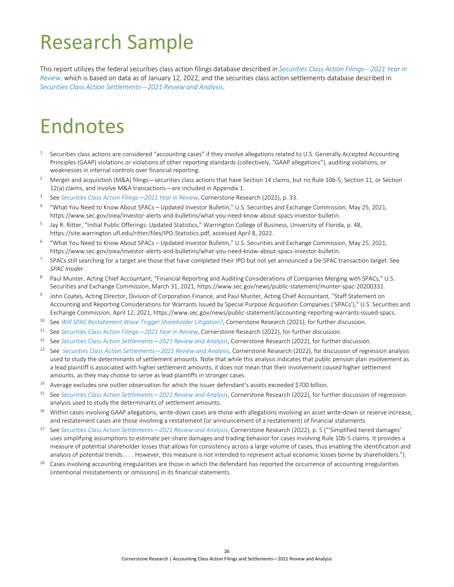## <span id="page-28-2"></span><span id="page-28-0"></span>Research Sample

This report utilizes the federal securities class action filings database described in *[Securities Class Action Filings](https://www.cornerstone.com/wp-content/uploads/2022/02/Securities-Class-Action-Filings-2021-Year-in-Review.pdf)—2021 Year in [Review](https://www.cornerstone.com/wp-content/uploads/2022/02/Securities-Class-Action-Filings-2021-Year-in-Review.pdf)*, which is based on data as of January 12, 2022, and the securities class action settlements database described in *[Securities Class Action Settlements](https://www.cornerstone.com/wp-content/uploads/2022/03/Securities-Class-Action-Settlements-2021-Review-and-Analysis.pdf)—2021 Review and Analysis*.

## <span id="page-28-1"></span>Endnotes

- Securities class actions are considered "accounting cases" if they involve allegations related to U.S. Generally Accepted Accounting Principles (GAAP) violations or violations of other reporting standards (collectively, "GAAP allegations"), auditing violations, or weaknesses in internal controls over financial reporting.
- <sup>2</sup> Merger and acquisition (M&A) filings—securities class actions that have Section 14 claims, but no Rule 10b-5, Section 11, or Section 12(a) claims, and involve M&A transactions—are included [in Appendix 1.](#page-24-3)
- <sup>3</sup> See *Securities Class Action Filings*—*[2021 Year in Review](https://www.cornerstone.com/wp-content/uploads/2022/02/Securities-Class-Action-Filings-2021-Year-in-Review.pdf)*, Cornerstone Research (2022), p. 33.
- <sup>4</sup> "What You Need to Know About SPACs Updated Investor Bulletin," U.S. Securities and Exchange Commission, May 25, 2021, [https://www.sec.gov/oiea/investor-alerts-and-bulletins/what-you-need-know-about-spacs-investor-bulletin.](https://www.sec.gov/oiea/investor-alerts-and-bulletins/what-you-need-know-about-spacs-investor-bulletin)
- <sup>5</sup> Jay R. Ritter, "Initial Public Offerings: Updated Statistics," Warrington College of Business, University of Florida, p. 48, [https://site.warrington.ufl.edu/ritter/files/IPO-Statistics.pdf,](https://site.warrington.ufl.edu/ritter/files/IPO-Statistics.pdf) accessed April 8, 2022.
- <sup>6</sup> "What You Need to Know About SPACs Updated Investor Bulletin," U.S. Securities and Exchange Commission, May 25, 2021, [https://www.sec.gov/oiea/investor-alerts-and-bulletins/what-you-need-know-about-spacs-investor-bulletin.](https://www.sec.gov/oiea/investor-alerts-and-bulletins/what-you-need-know-about-spacs-investor-bulletin)
- $7$  SPACs still searching for a target are those that have completed their IPO but not yet announced a De-SPAC transaction target. See *SPAC Insider*.
- 8 Paul Munter, Acting Chief Accountant, "Financial Reporting and Auditing Considerations of Companies Merging with SPACs," U.S. Securities and Exchange Commission, March 31, 2021[, https://www.sec.gov/news/public-statement/munter-spac-20200331.](https://www.sec.gov/news/public-statement/munter-spac-20200331)
- John Coates, Acting Director, Division of Corporation Finance, and Paul Munter, Acting Chief Accountant, "Staff Statement on Accounting and Reporting Considerations for Warrants Issued by Special Purpose Acquisition Companies ('SPACs')," U.S. Securities and Exchange Commission, April 12, 2021, [https://www.sec.gov/news/public-statement/accounting-reporting-warrants-issued-spacs.](https://www.sec.gov/news/public-statement/accounting-reporting-warrants-issued-spacs)
- <sup>10</sup> See *[Will SPAC Restatement Wave Trigger Shareholder Litigation?](https://www.cornerstone.com/insights/articles/will-spac-restatement-wave-trigger-shareholder-litigation/)*, Cornerstone Research (2021), for further discussion.
- <sup>11</sup> See *Securities Class Action Filings*—*[2021 Year in Review](https://www.cornerstone.com/wp-content/uploads/2022/02/Securities-Class-Action-Filings-2021-Year-in-Review.pdf)*, Cornerstone Research (2022), for further discussion.
- <sup>12</sup> See *[Securities Class Action Settlements—2021 Review and Analysis](https://www.cornerstone.com/wp-content/uploads/2022/03/Securities-Class-Action-Settlements-2021-Review-and-Analysis.pdf)*, Cornerstone Research (2022), for further discussion.
- <sup>13</sup> See *[Securities Class Action Settlements—2021 Review and Analysis](https://www.cornerstone.com/wp-content/uploads/2022/03/Securities-Class-Action-Settlements-2021-Review-and-Analysis.pdf)*, Cornerstone Research (2022), for discussion of regression analysis used to study the determinants of settlement amounts. Note that while this analysis indicates that public pension plan involvement as a lead plaintiff is associated with higher settlement amounts, it does not mean that their involvement *caused* higher settlement amounts, as they may choose to serve as lead plaintiffs in stronger cases.
- <sup>14</sup> Average excludes one outlier observation for which the issuer defendant's assets exceeded \$700 billion.
- <sup>15</sup> See *[Securities Class Action Settlements—2021 Review and Analysis](https://www.cornerstone.com/wp-content/uploads/2022/03/Securities-Class-Action-Settlements-2021-Review-and-Analysis.pdf)*, Cornerstone Research (2022), for further discussion of regression analysis used to study the determinants of settlement amounts.
- <sup>16</sup> Within cases involving GAAP allegations, write-down cases are those with allegations involving an asset write-down or reserve increase, and restatement cases are those involving a restatement (or announcement of a restatement) of financial statements.
- <sup>17</sup> See *[Securities Class Action Settlements—2021 Review and Analysis](https://www.cornerstone.com/wp-content/uploads/2022/03/Securities-Class-Action-Settlements-2021-Review-and-Analysis.pdf)*, Cornerstone Research (2022), p. 5 ("'Simplified tiered damages' uses simplifying assumptions to estimate per-share damages and trading behavior for cases involving Rule 10b-5 claims. It provides a measure of potential shareholder losses that allows for consistency across a large volume of cases, thus enabling the identification and analysis of potential trends. . . . However, this measure is not intended to represent actual economic losses borne by shareholders.").
- <sup>18</sup> Cases involving accounting irregularities are those in which the defendant has reported the occurrence of accounting irregularities (intentional misstatements or omissions) in its financial statements.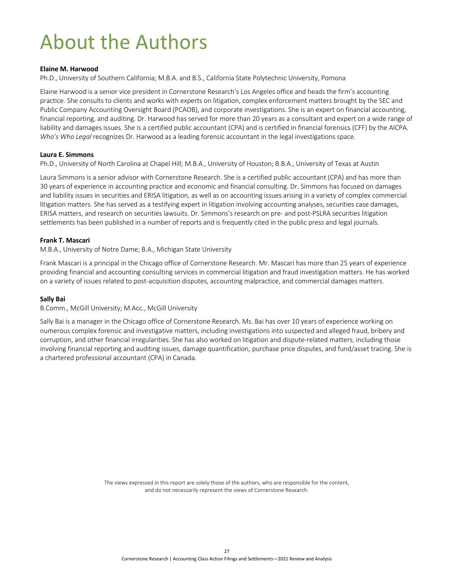## <span id="page-29-0"></span>About the Authors

#### **Elaine M. Harwood**

Ph.D., University of Southern California; M.B.A. and B.S., California State Polytechnic University, Pomona

Elaine Harwood is a senior vice president in Cornerstone Research's Los Angeles office and heads the firm's accounting practice. She consults to clients and works with experts on litigation, complex enforcement matters brought by the SEC and Public Company Accounting Oversight Board (PCAOB), and corporate investigations. She is an expert on financial accounting, financial reporting, and auditing. Dr. Harwood has served for more than 20 years as a consultant and expert on a wide range of liability and damages issues. She is a certified public accountant (CPA) and is certified in financial forensics (CFF) by the AICPA. *Who's Who Legal* recognizes Dr. Harwood as a leading forensic accountant in the legal investigations space.

#### **Laura E. Simmons**

Ph.D., University of North Carolina at Chapel Hill; M.B.A., University of Houston; B.B.A., University of Texas at Austin

Laura Simmons is a senior advisor with Cornerstone Research. She is a certified public accountant (CPA) and has more than 30 years of experience in accounting practice and economic and financial consulting. Dr. Simmons has focused on damages and liability issues in securities and ERISA litigation, as well as on accounting issues arising in a variety of complex commercial litigation matters. She has served as a testifying expert in litigation involving accounting analyses, securities case damages, ERISA matters, and research on securities lawsuits. Dr. Simmons's research on pre- and post-PSLRA securities litigation settlements has been published in a number of reports and is frequently cited in the public press and legal journals.

#### **Frank T. Mascari**

M.B.A., University of Notre Dame; B.A., Michigan State University

Frank Mascari is a principal in the Chicago office of Cornerstone Research. Mr. Mascari has more than 25 years of experience providing financial and accounting consulting services in commercial litigation and fraud investigation matters. He has worked on a variety of issues related to post-acquisition disputes, accounting malpractice, and commercial damages matters.

#### **Sally Bai**

B.Comm., McGill University; M.Acc., McGill University

Sally Bai is a manager in the Chicago office of Cornerstone Research. Ms. Bai has over 10 years of experience working on numerous complex forensic and investigative matters, including investigations into suspected and alleged fraud, bribery and corruption, and other financial irregularities. She has also worked on litigation and dispute-related matters, including those involving financial reporting and auditing issues, damage quantification, purchase price disputes, and fund/asset tracing. She is a chartered professional accountant (CPA) in Canada.

> The views expressed in this report are solely those of the authors, who are responsible for the content, and do not necessarily represent the views of Cornerstone Research.